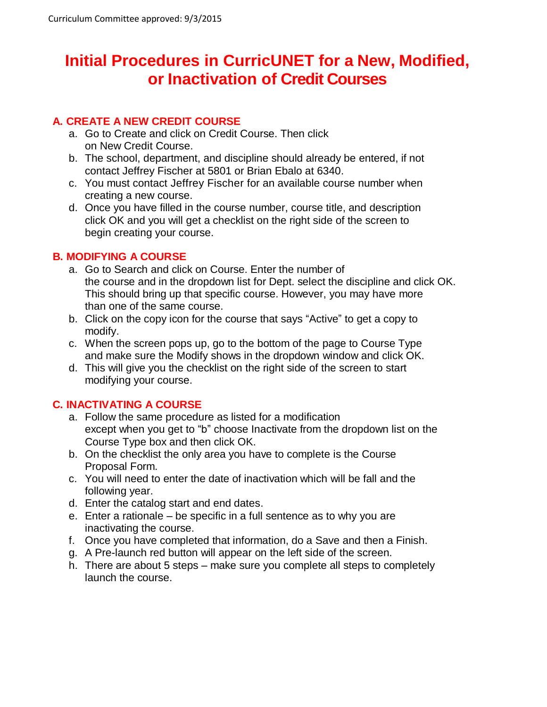# **Initial Procedures in CurricUNET for a New, Modified, or Inactivation of Credit Courses**

## **A. CREATE A NEW CREDIT COURSE**

- a. Go to Create and click on Credit Course. Then click on New Credit Course.
- b. The school, department, and discipline should already be entered, if not contact Jeffrey Fischer at 5801 or Brian Ebalo at 6340.
- c. You must contact Jeffrey Fischer for an available course number when creating a new course.
- d. Once you have filled in the course number, course title, and description click OK and you will get a checklist on the right side of the screen to begin creating your course.

## **B. MODIFYING A COURSE**

- a. Go to Search and click on Course. Enter the number of the course and in the dropdown list for Dept. select the discipline and click OK. This should bring up that specific course. However, you may have more than one of the same course.
- b. Click on the copy icon for the course that says "Active" to get a copy to modify.
- c. When the screen pops up, go to the bottom of the page to Course Type and make sure the Modify shows in the dropdown window and click OK.
- d. This will give you the checklist on the right side of the screen to start modifying your course.

## **C. INACTIVATING A COURSE**

- a. Follow the same procedure as listed for a modification except when you get to "b" choose Inactivate from the dropdown list on the Course Type box and then click OK.
- b. On the checklist the only area you have to complete is the Course Proposal Form.
- c. You will need to enter the date of inactivation which will be fall and the following year.
- d. Enter the catalog start and end dates.
- e. Enter a rationale be specific in a full sentence as to why you are inactivating the course.
- f. Once you have completed that information, do a Save and then a Finish.
- g. A Pre-launch red button will appear on the left side of the screen.
- h. There are about 5 steps make sure you complete all steps to completely launch the course.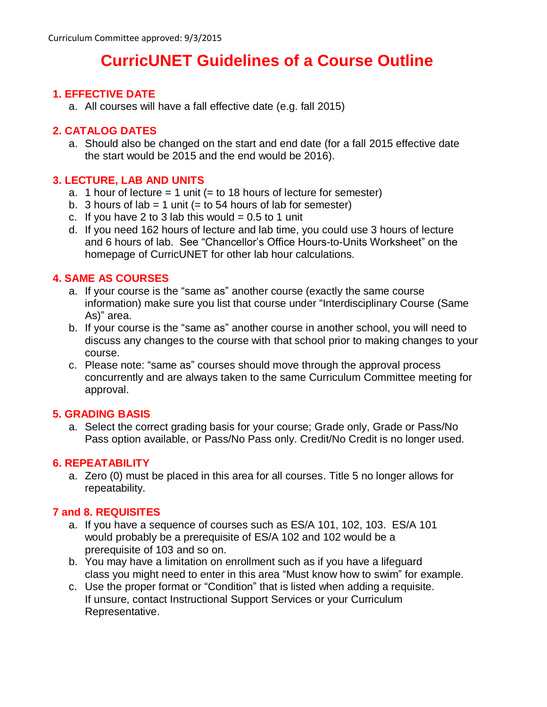# **CurricUNET Guidelines of a Course Outline**

### **1. EFFECTIVE DATE**

a. All courses will have a fall effective date (e.g. fall 2015)

### **2. CATALOG DATES**

a. Should also be changed on the start and end date (for a fall 2015 effective date the start would be 2015 and the end would be 2016).

#### **3. LECTURE, LAB AND UNITS**

- a. 1 hour of lecture  $= 1$  unit ( $=$  to 18 hours of lecture for semester)
- b. 3 hours of lab = 1 unit (= to 54 hours of lab for semester)
- c. If you have 2 to 3 lab this would  $= 0.5$  to 1 unit
- d. If you need 162 hours of lecture and lab time, you could use 3 hours of lecture and 6 hours of lab. See "Chancellor's Office Hours-to-Units Worksheet" on the homepage of CurricUNET for other lab hour calculations.

#### **4. SAME AS COURSES**

- a. If your course is the "same as" another course (exactly the same course information) make sure you list that course under "Interdisciplinary Course (Same As)" area.
- b. If your course is the "same as" another course in another school, you will need to discuss any changes to the course with that school prior to making changes to your course.
- c. Please note: "same as" courses should move through the approval process concurrently and are always taken to the same Curriculum Committee meeting for approval.

## **5. GRADING BASIS**

a. Select the correct grading basis for your course; Grade only, Grade or Pass/No Pass option available, or Pass/No Pass only. Credit/No Credit is no longer used.

#### **6. REPEATABILITY**

a. Zero (0) must be placed in this area for all courses. Title 5 no longer allows for repeatability.

#### **7 and 8. REQUISITES**

- a. If you have a sequence of courses such as ES/A 101, 102, 103. ES/A 101 would probably be a prerequisite of ES/A 102 and 102 would be a prerequisite of 103 and so on.
- b. You may have a limitation on enrollment such as if you have a lifeguard class you might need to enter in this area "Must know how to swim" for example.
- c. Use the proper format or "Condition" that is listed when adding a requisite. If unsure, contact Instructional Support Services or your Curriculum Representative.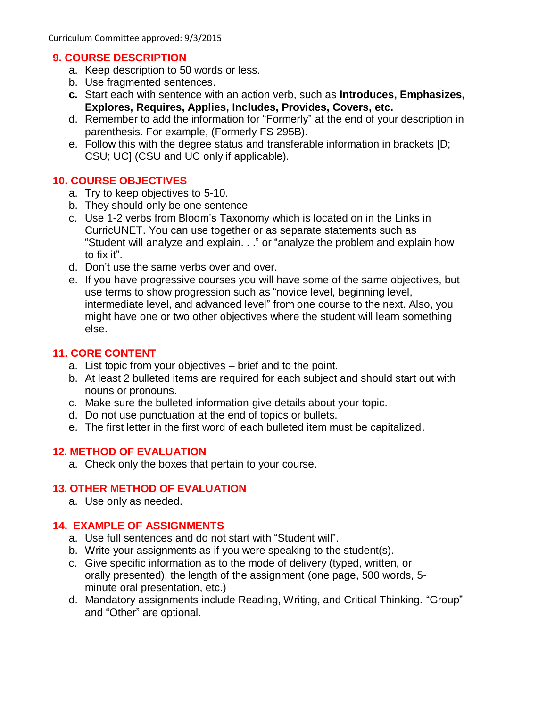Curriculum Committee approved: 9/3/2015

#### **9. COURSE DESCRIPTION**

- a. Keep description to 50 words or less.
- b. Use fragmented sentences.
- **c.** Start each with sentence with an action verb, such as **Introduces, Emphasizes, Explores, Requires, Applies, Includes, Provides, Covers, etc.**
- d. Remember to add the information for "Formerly" at the end of your description in parenthesis. For example, (Formerly FS 295B).
- e. Follow this with the degree status and transferable information in brackets [D; CSU; UC] (CSU and UC only if applicable).

## **10. COURSE OBJECTIVES**

- a. Try to keep objectives to 5-10.
- b. They should only be one sentence
- c. Use 1-2 verbs from Bloom's Taxonomy which is located on in the Links in CurricUNET. You can use together or as separate statements such as "Student will analyze and explain. . ." or "analyze the problem and explain how to fix it".
- d. Don't use the same verbs over and over.
- e. If you have progressive courses you will have some of the same objectives, but use terms to show progression such as "novice level, beginning level, intermediate level, and advanced level" from one course to the next. Also, you might have one or two other objectives where the student will learn something else.

## **11. CORE CONTENT**

- a. List topic from your objectives brief and to the point.
- b. At least 2 bulleted items are required for each subject and should start out with nouns or pronouns.
- c. Make sure the bulleted information give details about your topic.
- d. Do not use punctuation at the end of topics or bullets.
- e. The first letter in the first word of each bulleted item must be capitalized.

## **12. METHOD OF EVALUATION**

a. Check only the boxes that pertain to your course.

# **13. OTHER METHOD OF EVALUATION**

a. Use only as needed.

# **14. EXAMPLE OF ASSIGNMENTS**

- a. Use full sentences and do not start with "Student will".
- b. Write your assignments as if you were speaking to the student(s).
- c. Give specific information as to the mode of delivery (typed, written, or orally presented), the length of the assignment (one page, 500 words, 5 minute oral presentation, etc.)
- d. Mandatory assignments include Reading, Writing, and Critical Thinking. "Group" and "Other" are optional.